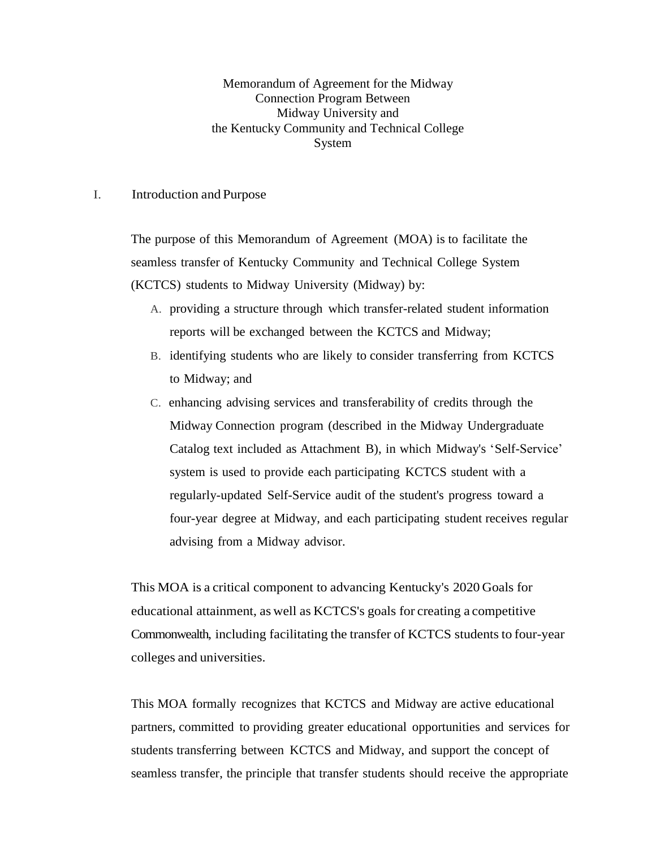Memorandum of Agreement for the Midway Connection Program Between Midway University and the Kentucky Community and Technical College System

## I. Introduction and Purpose

The purpose of this Memorandum of Agreement (MOA) is to facilitate the seamless transfer of Kentucky Community and Technical College System (KCTCS) students to Midway University (Midway) by:

- A. providing a structure through which transfer-related student information reports will be exchanged between the KCTCS and Midway;
- B. identifying students who are likely to consider transferring from KCTCS to Midway; and
- C. enhancing advising services and transferability of credits through the Midway Connection program (described in the Midway Undergraduate Catalog text included as Attachment B), in which Midway's 'Self-Service' system is used to provide each participating KCTCS student with a regularly-updated Self-Service audit of the student's progress toward a four-year degree at Midway, and each participating student receives regular advising from a Midway advisor.

This MOA is a critical component to advancing Kentucky's 2020 Goals for educational attainment, as well as KCTCS's goals for creating a competitive Commonwealth, including facilitating the transfer of KCTCS students to four-year colleges and universities.

This MOA formally recognizes that KCTCS and Midway are active educational partners, committed to providing greater educational opportunities and services for students transferring between KCTCS and Midway, and support the concept of seamless transfer, the principle that transfer students should receive the appropriate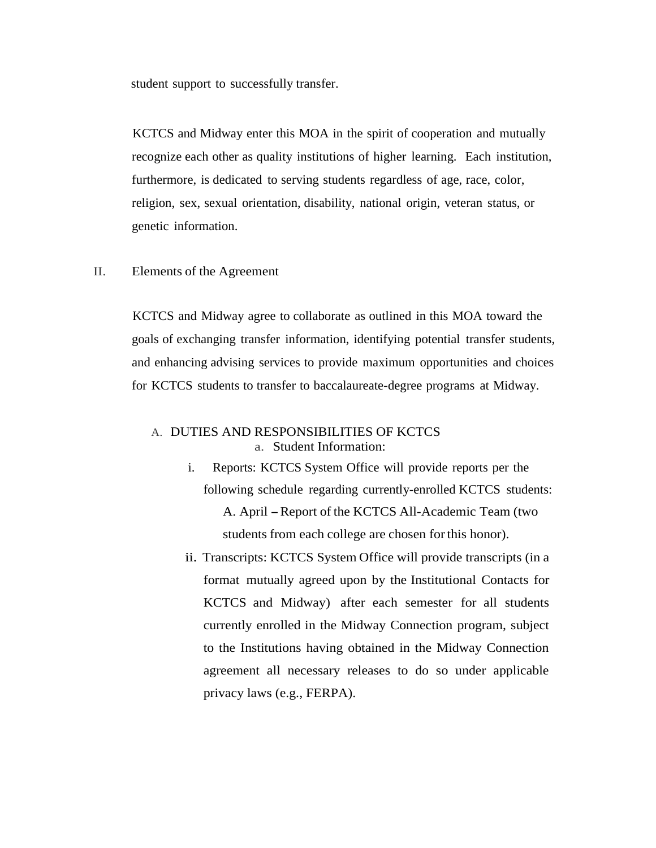student support to successfully transfer.

KCTCS and Midway enter this MOA in the spirit of cooperation and mutually recognize each other as quality institutions of higher learning. Each institution, furthermore, is dedicated to serving students regardless of age, race, color, religion, sex, sexual orientation, disability, national origin, veteran status, or genetic information.

## II. Elements of the Agreement

KCTCS and Midway agree to collaborate as outlined in this MOA toward the goals of exchanging transfer information, identifying potential transfer students, and enhancing advising services to provide maximum opportunities and choices for KCTCS students to transfer to baccalaureate-degree programs at Midway.

## A. DUTIES AND RESPONSIBILITIES OF KCTCS a. Student Information:

- i. Reports: KCTCS System Office will provide reports per the following schedule regarding currently-enrolled KCTCS students: A. April-Report of the KCTCS All-Academic Team (two students from each college are chosen forthis honor).
- ii. Transcripts: KCTCS System Office will provide transcripts (in a format mutually agreed upon by the Institutional Contacts for KCTCS and Midway) after each semester for all students currently enrolled in the Midway Connection program, subject to the Institutions having obtained in the Midway Connection agreement all necessary releases to do so under applicable privacy laws (e.g., FERPA).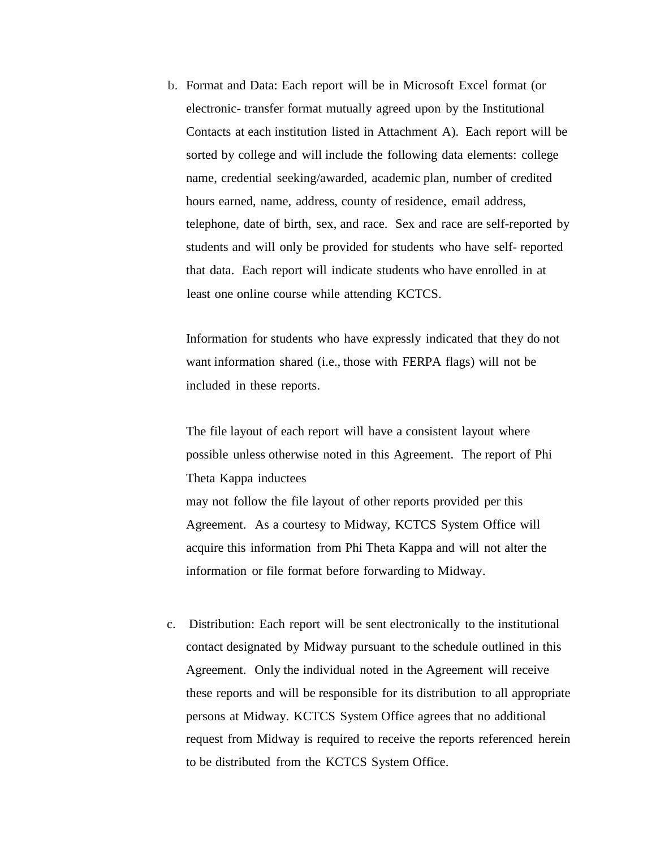b. Format and Data: Each report will be in Microsoft Excel format (or electronic- transfer format mutually agreed upon by the Institutional Contacts at each institution listed in Attachment A). Each report will be sorted by college and will include the following data elements: college name, credential seeking/awarded, academic plan, number of credited hours earned, name, address, county of residence, email address, telephone, date of birth, sex, and race. Sex and race are self-reported by students and will only be provided for students who have self- reported that data. Each report will indicate students who have enrolled in at least one online course while attending KCTCS.

Information for students who have expressly indicated that they do not want information shared (i.e., those with FERPA flags) will not be included in these reports.

The file layout of each report will have a consistent layout where possible unless otherwise noted in this Agreement. The report of Phi Theta Kappa inductees may not follow the file layout of other reports provided per this Agreement. As a courtesy to Midway, KCTCS System Office will acquire this information from Phi Theta Kappa and will not alter the information or file format before forwarding to Midway.

c. Distribution: Each report will be sent electronically to the institutional contact designated by Midway pursuant to the schedule outlined in this Agreement. Only the individual noted in the Agreement will receive these reports and will be responsible for its distribution to all appropriate persons at Midway. KCTCS System Office agrees that no additional request from Midway is required to receive the reports referenced herein to be distributed from the KCTCS System Office.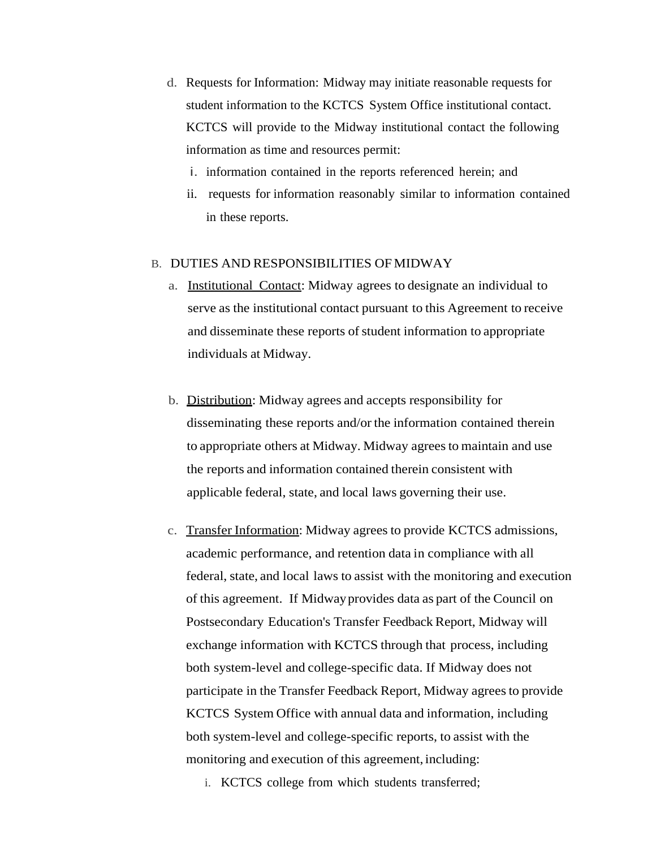- d. Requests for Information: Midway may initiate reasonable requests for student information to the KCTCS System Office institutional contact. KCTCS will provide to the Midway institutional contact the following information as time and resources permit:
	- i. information contained in the reports referenced herein; and
	- ii. requests for information reasonably similar to information contained in these reports.

## B. DUTIES AND RESPONSIBILITIES OF MIDWAY

- a. Institutional Contact: Midway agrees to designate an individual to serve as the institutional contact pursuant to this Agreement to receive and disseminate these reports of student information to appropriate individuals at Midway.
- b. Distribution: Midway agrees and accepts responsibility for disseminating these reports and/or the information contained therein to appropriate others at Midway. Midway agrees to maintain and use the reports and information contained therein consistent with applicable federal, state, and local laws governing their use.
- c. Transfer Information: Midway agrees to provide KCTCS admissions, academic performance, and retention data in compliance with all federal, state, and local laws to assist with the monitoring and execution of this agreement. If Midwayprovides data as part of the Council on Postsecondary Education's Transfer Feedback Report, Midway will exchange information with KCTCS through that process, including both system-level and college-specific data. If Midway does not participate in the Transfer Feedback Report, Midway agrees to provide KCTCS System Office with annual data and information, including both system-level and college-specific reports, to assist with the monitoring and execution of this agreement, including:
	- i. KCTCS college from which students transferred;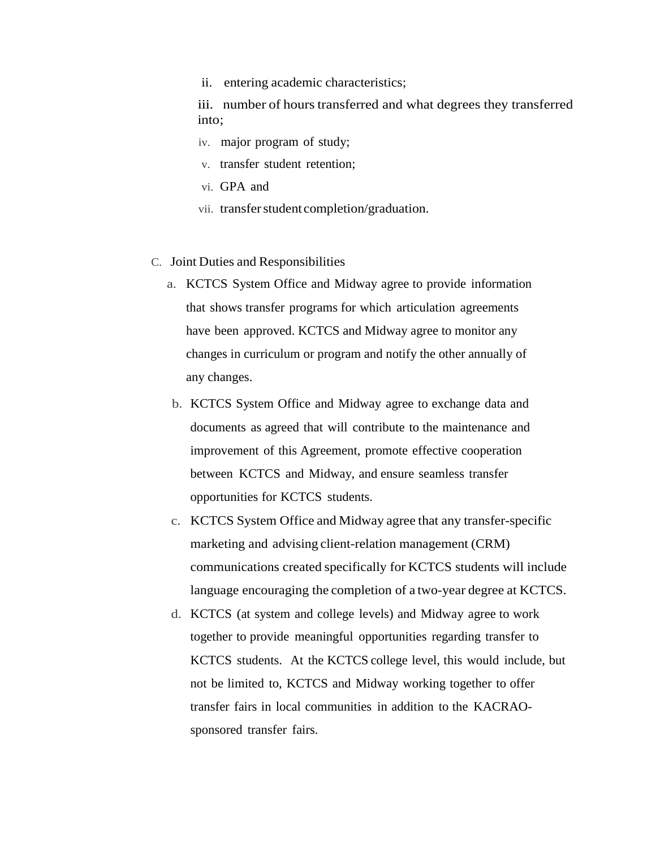ii. entering academic characteristics;

iii. number of hours transferred and what degrees they transferred into;

- iv. major program of study;
- v. transfer student retention;
- vi. GPA and
- vii. transfer student completion/graduation.
- C. Joint Duties and Responsibilities
	- a. KCTCS System Office and Midway agree to provide information that shows transfer programs for which articulation agreements have been approved. KCTCS and Midway agree to monitor any changes in curriculum or program and notify the other annually of any changes.
	- b. KCTCS System Office and Midway agree to exchange data and documents as agreed that will contribute to the maintenance and improvement of this Agreement, promote effective cooperation between KCTCS and Midway, and ensure seamless transfer opportunities for KCTCS students.
	- c. KCTCS System Office and Midway agree that any transfer-specific marketing and advising client-relation management (CRM) communications created specifically for KCTCS students will include language encouraging the completion of a two-year degree at KCTCS.
	- d. KCTCS (at system and college levels) and Midway agree to work together to provide meaningful opportunities regarding transfer to KCTCS students. At the KCTCS college level, this would include, but not be limited to, KCTCS and Midway working together to offer transfer fairs in local communities in addition to the KACRAOsponsored transfer fairs.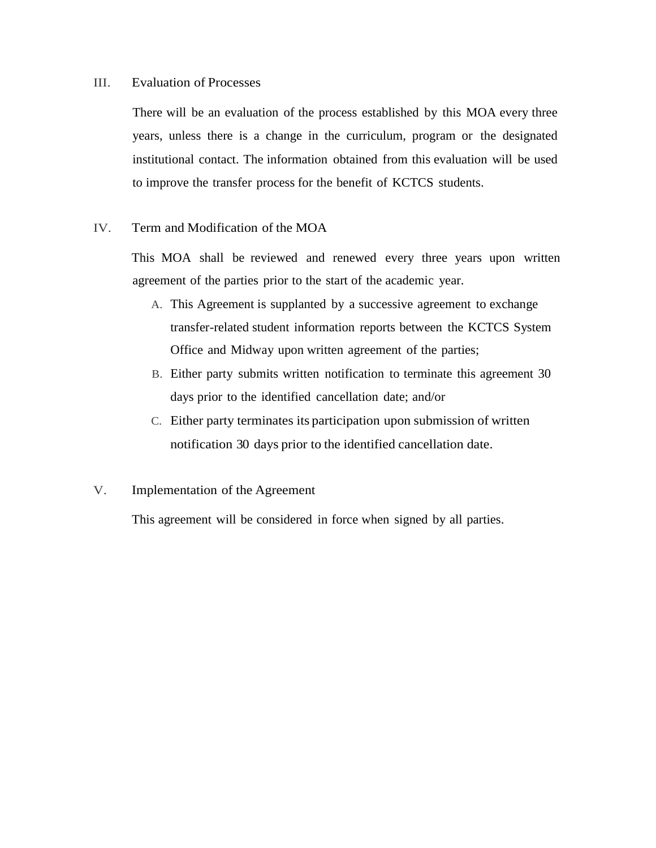## III. Evaluation of Processes

There will be an evaluation of the process established by this MOA every three years, unless there is a change in the curriculum, program or the designated institutional contact. The information obtained from this evaluation will be used to improve the transfer process for the benefit of KCTCS students.

## IV. Term and Modification of the MOA

This MOA shall be reviewed and renewed every three years upon written agreement of the parties prior to the start of the academic year.

- A. This Agreement is supplanted by a successive agreement to exchange transfer-related student information reports between the KCTCS System Office and Midway upon written agreement of the parties;
- B. Either party submits written notification to terminate this agreement 30 days prior to the identified cancellation date; and/or
- C. Either party terminates its participation upon submission of written notification 30 days prior to the identified cancellation date.

## V. Implementation of the Agreement

This agreement will be considered in force when signed by all parties.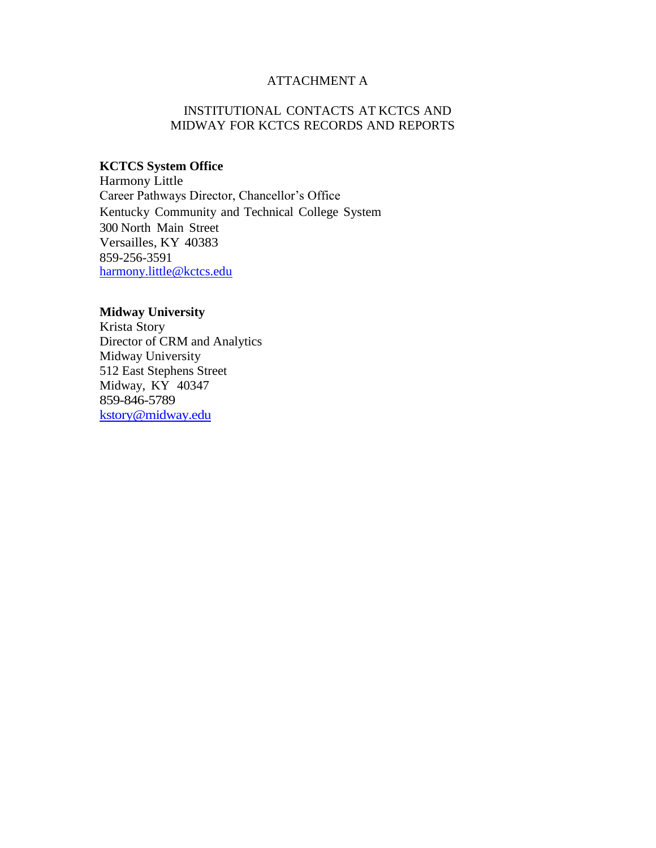## ATTACHMENT A

## INSTITUTIONAL CONTACTS AT KCTCS AND MIDWAY FOR KCTCS RECORDS AND REPORTS

# **KCTCS System Office**

Harmony Little Career Pathways Director, Chancellor's Office Kentucky Community and Technical College System 300 North Main Street Versailles, KY 40383 859-256-3591 [harmony.little@kctcs.edu](mailto:harmony.little@kctcs.edu)

# **Midway University**

Krista Story Director of CRM and Analytics Midway University 512 East Stephens Street Midway, KY 40347 859-846-5789 [kstory@midway.edu](mailto:kstory@midway.edu)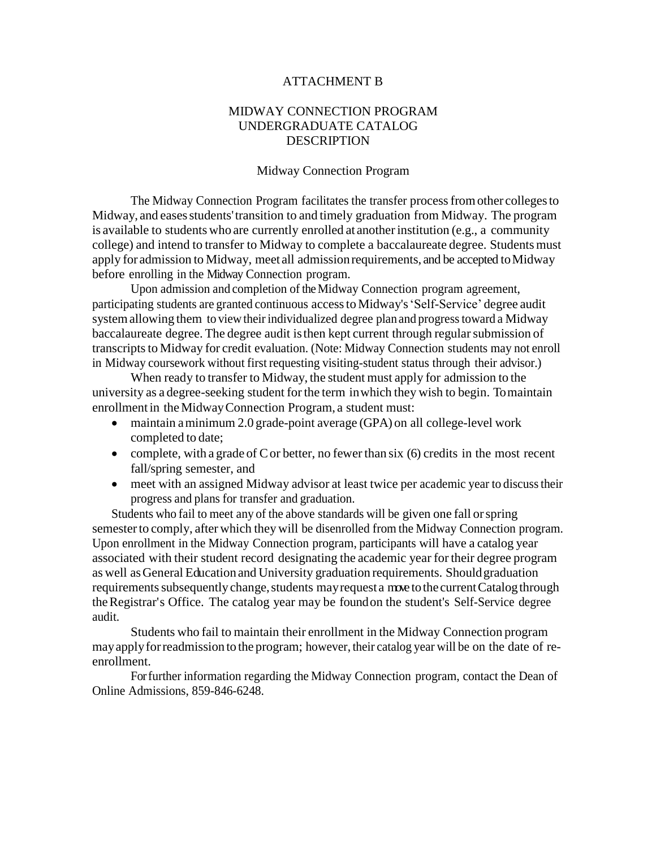## ATTACHMENT B

## MIDWAY CONNECTION PROGRAM UNDERGRADUATE CATALOG **DESCRIPTION**

#### Midway Connection Program

The Midway Connection Program facilitates the transfer processfromother collegesto Midway, and eases students' transition to and timely graduation from Midway. The program is available to students who are currently enrolled at anotherinstitution (e.g., a community college) and intend to transfer to Midway to complete a baccalaureate degree. Studentsmust apply for admission to Midway, meet all admission requirements, and be accepted to Midway before enrolling in the Midway Connection program.

Upon admission and completion of the Midway Connection program agreement, participating students are granted continuous accessto Midway's'Self-Service' degree audit system allowing them to view their individualized degree plan and progress toward a Midway baccalaureate degree. The degree audit is then kept current through regular submission of transcripts to Midway for credit evaluation. (Note: Midway Connection students may not enroll in Midway coursework without first requesting visiting-student status through their advisor.)

When ready to transfer to Midway, the student must apply for admission to the university as a degree-seeking student forthe term inwhich they wish to begin. Tomaintain enrollment in the Midway Connection Program, a student must:

- maintain a minimum 2.0 grade-point average (GPA) on all college-level work completed to date;
- complete, with a grade of C or better, no fewer than six (6) credits in the most recent fall/spring semester, and
- meet with an assigned Midway advisor at least twice per academic year to discuss their progress and plans for transfer and graduation.

Students who fail to meet any of the above standards will be given one fall orspring semesterto comply, after which they will be disenrolled from the Midway Connection program. Upon enrollment in the Midway Connection program, participants will have a catalog year associated with their student record designating the academic year fortheir degree program as well asGeneral Educationand University graduation requirements. Shouldgraduation requirements subsequently change, students may request a move to the current Catalog through theRegistrar's Office. The catalog year may be foundon the student's Self-Service degree audit.

Students who fail to maintain their enrollment in the Midway Connection program mayapplyforreadmission to the program; however, their catalog year will be on the date of reenrollment.

Forfurther information regarding the Midway Connection program, contact the Dean of Online Admissions, 859-846-6248.